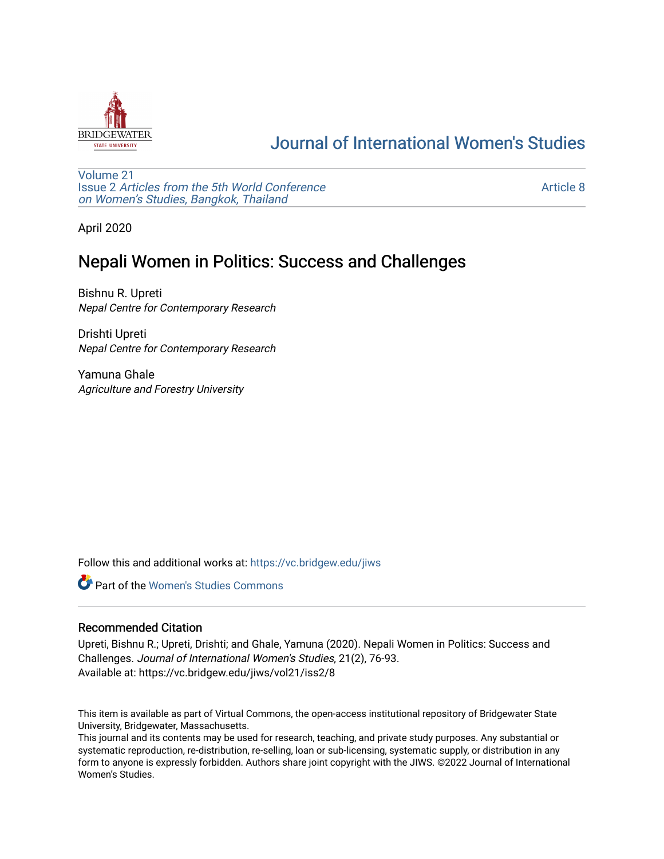

# [Journal of International Women's Studies](https://vc.bridgew.edu/jiws)

[Volume 21](https://vc.bridgew.edu/jiws/vol21) Issue 2 [Articles from the 5th World Conference](https://vc.bridgew.edu/jiws/vol21/iss2) [on Women's Studies, Bangkok, Thailand](https://vc.bridgew.edu/jiws/vol21/iss2) 

[Article 8](https://vc.bridgew.edu/jiws/vol21/iss2/8) 

April 2020

# Nepali Women in Politics: Success and Challenges

Bishnu R. Upreti Nepal Centre for Contemporary Research

Drishti Upreti Nepal Centre for Contemporary Research

Yamuna Ghale Agriculture and Forestry University

Follow this and additional works at: [https://vc.bridgew.edu/jiws](https://vc.bridgew.edu/jiws?utm_source=vc.bridgew.edu%2Fjiws%2Fvol21%2Fiss2%2F8&utm_medium=PDF&utm_campaign=PDFCoverPages)

**C** Part of the Women's Studies Commons

## Recommended Citation

Upreti, Bishnu R.; Upreti, Drishti; and Ghale, Yamuna (2020). Nepali Women in Politics: Success and Challenges. Journal of International Women's Studies, 21(2), 76-93. Available at: https://vc.bridgew.edu/jiws/vol21/iss2/8

This item is available as part of Virtual Commons, the open-access institutional repository of Bridgewater State University, Bridgewater, Massachusetts.

This journal and its contents may be used for research, teaching, and private study purposes. Any substantial or systematic reproduction, re-distribution, re-selling, loan or sub-licensing, systematic supply, or distribution in any form to anyone is expressly forbidden. Authors share joint copyright with the JIWS. ©2022 Journal of International Women's Studies.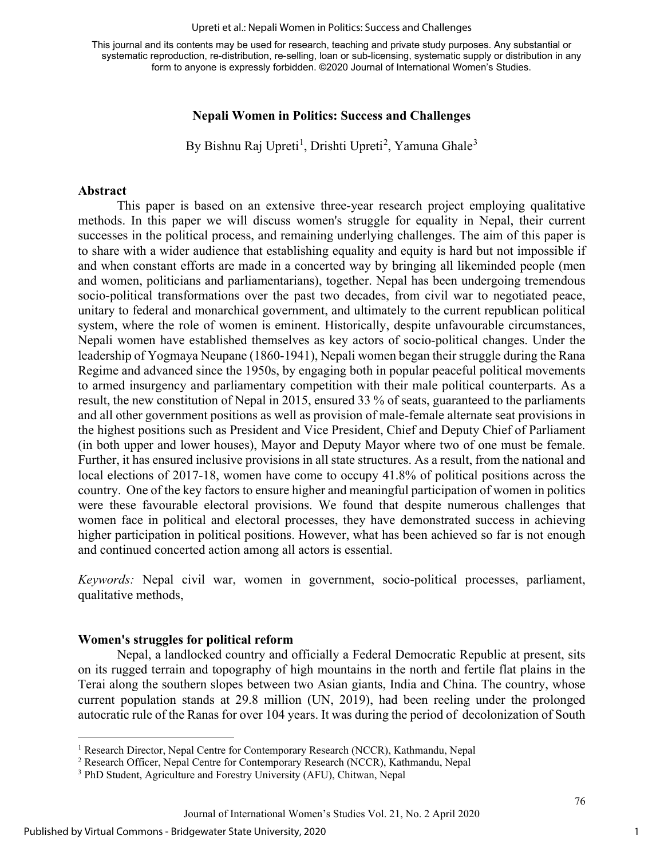#### Upreti et al.: Nepali Women in Politics: Success and Challenges

This journal and its contents may be used for research, teaching and private study purposes. Any substantial or systematic reproduction, re-distribution, re-selling, loan or sub-licensing, systematic supply or distribution in any form to anyone is expressly forbidden. ©2020 Journal of International Women's Studies.

#### **Nepali Women in Politics: Success and Challenges**

By Bishnu Raj Upreti<sup>[1](#page-1-0)</sup>, Drishti Upreti<sup>[2](#page-1-1)</sup>, Yamuna Ghale<sup>[3](#page-1-2)</sup>

#### **Abstract**

This paper is based on an extensive three-year research project employing qualitative methods. In this paper we will discuss women's struggle for equality in Nepal, their current successes in the political process, and remaining underlying challenges. The aim of this paper is to share with a wider audience that establishing equality and equity is hard but not impossible if and when constant efforts are made in a concerted way by bringing all likeminded people (men and women, politicians and parliamentarians), together. Nepal has been undergoing tremendous socio-political transformations over the past two decades, from civil war to negotiated peace, unitary to federal and monarchical government, and ultimately to the current republican political system, where the role of women is eminent. Historically, despite unfavourable circumstances, Nepali women have established themselves as key actors of socio-political changes. Under the leadership of Yogmaya Neupane (1860-1941), Nepali women began their struggle during the Rana Regime and advanced since the 1950s, by engaging both in popular peaceful political movements to armed insurgency and parliamentary competition with their male political counterparts. As a result, the new constitution of Nepal in 2015, ensured 33 % of seats, guaranteed to the parliaments and all other government positions as well as provision of male-female alternate seat provisions in the highest positions such as President and Vice President, Chief and Deputy Chief of Parliament (in both upper and lower houses), Mayor and Deputy Mayor where two of one must be female. Further, it has ensured inclusive provisions in all state structures. As a result, from the national and local elections of 2017-18, women have come to occupy 41.8% of political positions across the country. One of the key factors to ensure higher and meaningful participation of women in politics were these favourable electoral provisions. We found that despite numerous challenges that women face in political and electoral processes, they have demonstrated success in achieving higher participation in political positions. However, what has been achieved so far is not enough and continued concerted action among all actors is essential.

*Keywords:* Nepal civil war, women in government, socio-political processes, parliament, qualitative methods,

#### **Women's struggles for political reform**

Nepal, a landlocked country and officially a Federal Democratic Republic at present, sits on its rugged terrain and topography of high mountains in the north and fertile flat plains in the Terai along the southern slopes between two Asian giants, India and China. The country, whose current population stands at 29.8 million (UN, 2019), had been reeling under the prolonged autocratic rule of the Ranas for over 104 years. It was during the period of decolonization of South

<span id="page-1-0"></span><sup>1</sup> Research Director, Nepal Centre for Contemporary Research (NCCR), Kathmandu, Nepal

<span id="page-1-1"></span><sup>2</sup> Research Officer, Nepal Centre for Contemporary Research (NCCR), Kathmandu, Nepal

<span id="page-1-2"></span><sup>3</sup> PhD Student, Agriculture and Forestry University (AFU), Chitwan, Nepal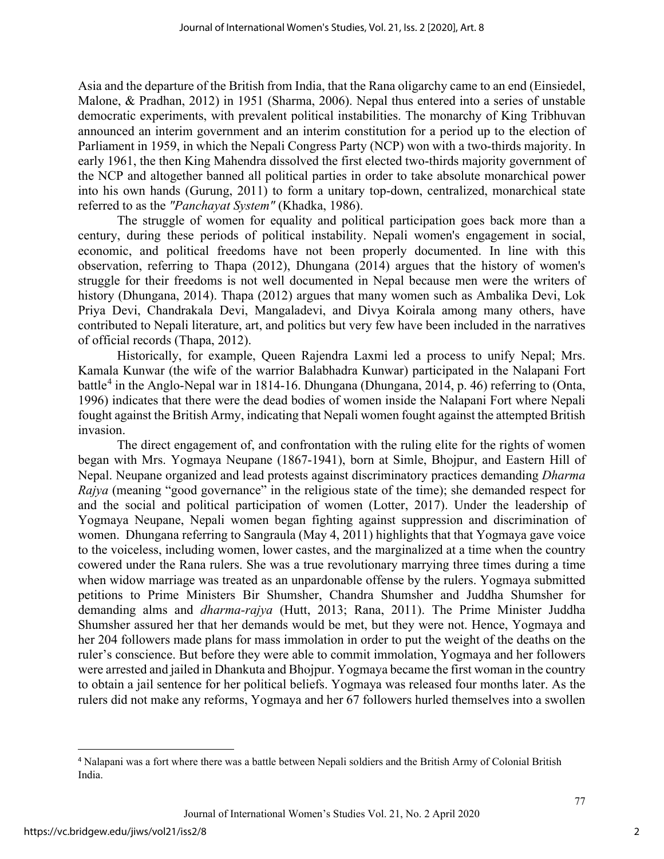Asia and the departure of the British from India, that the Rana oligarchy came to an end (Einsiedel, Malone, & Pradhan, 2012) in 1951 (Sharma, 2006). Nepal thus entered into a series of unstable democratic experiments, with prevalent political instabilities. The monarchy of King Tribhuvan announced an interim government and an interim constitution for a period up to the election of Parliament in 1959, in which the Nepali Congress Party (NCP) won with a two-thirds majority. In early 1961, the then King Mahendra dissolved the first elected two-thirds majority government of the NCP and altogether banned all political parties in order to take absolute monarchical power into his own hands (Gurung, 2011) to form a unitary top-down, centralized, monarchical state referred to as the *"Panchayat System"* (Khadka, 1986).

The struggle of women for equality and political participation goes back more than a century, during these periods of political instability. Nepali women's engagement in social, economic, and political freedoms have not been properly documented. In line with this observation, referring to Thapa (2012), Dhungana (2014) argues that the history of women's struggle for their freedoms is not well documented in Nepal because men were the writers of history (Dhungana, 2014). Thapa (2012) argues that many women such as Ambalika Devi, Lok Priya Devi, Chandrakala Devi, Mangaladevi, and Divya Koirala among many others, have contributed to Nepali literature, art, and politics but very few have been included in the narratives of official records (Thapa, 2012).

Historically, for example, Queen Rajendra Laxmi led a process to unify Nepal; Mrs. Kamala Kunwar (the wife of the warrior Balabhadra Kunwar) participated in the Nalapani Fort battle<sup>[4](#page-2-0)</sup> in the Anglo-Nepal war in 1814-16. Dhungana (Dhungana, 2014, p. 46) referring to (Onta, 1996) indicates that there were the dead bodies of women inside the Nalapani Fort where Nepali fought against the British Army, indicating that Nepali women fought against the attempted British invasion.

The direct engagement of, and confrontation with the ruling elite for the rights of women began with Mrs. Yogmaya Neupane (1867-1941), born at Simle, Bhojpur, and Eastern Hill of Nepal. Neupane organized and lead protests against discriminatory practices demanding *Dharma Rajya* (meaning "good governance" in the religious state of the time); she demanded respect for and the social and political participation of women (Lotter, 2017). Under the leadership of Yogmaya Neupane, Nepali women began fighting against suppression and discrimination of women. Dhungana referring to Sangraula (May 4, 2011) highlights that that Yogmaya gave voice to the voiceless, including women, lower castes, and the marginalized at a time when the country cowered under the Rana rulers. She was a true revolutionary marrying three times during a time when widow marriage was treated as an unpardonable offense by the rulers. Yogmaya submitted petitions to Prime Ministers Bir Shumsher, Chandra Shumsher and Juddha Shumsher for demanding alms and *dharma-rajya* (Hutt, 2013; Rana, 2011). The Prime Minister Juddha Shumsher assured her that her demands would be met, but they were not. Hence, Yogmaya and her 204 followers made plans for mass immolation in order to put the weight of the deaths on the ruler's conscience. But before they were able to commit immolation, Yogmaya and her followers were arrested and jailed in Dhankuta and Bhojpur. Yogmaya became the first woman in the country to obtain a jail sentence for her political beliefs. Yogmaya was released four months later. As the rulers did not make any reforms, Yogmaya and her 67 followers hurled themselves into a swollen

<span id="page-2-0"></span><sup>4</sup> Nalapani was a fort where there was a battle between Nepali soldiers and the British Army of Colonial British India.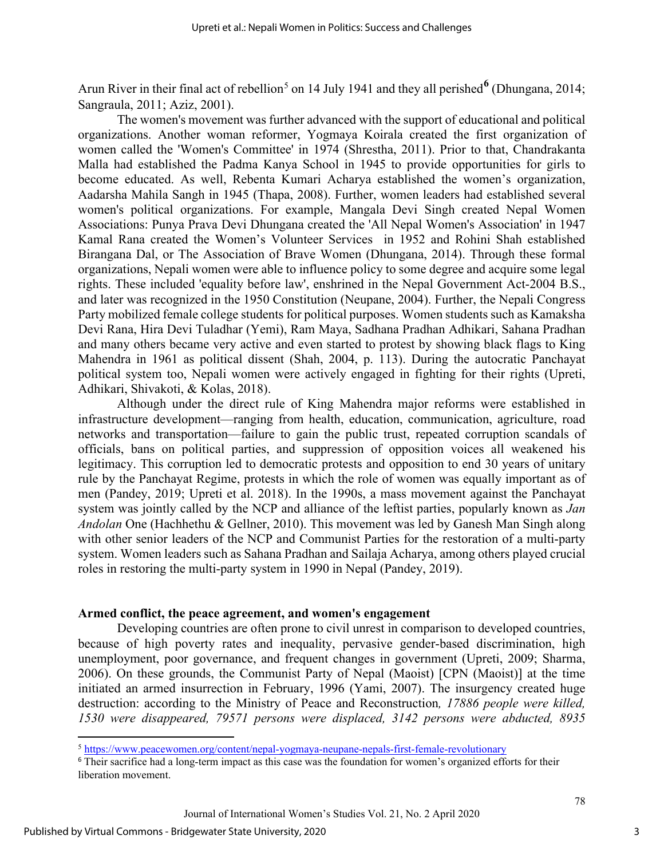Arun River in their final act of rebellion<sup>[5](#page-3-0)</sup> on 14 July 1941 and they all perished<sup>[6](#page-3-1)</sup> (Dhungana, 2014; Sangraula, 2011; Aziz, 2001).

The women's movement was further advanced with the support of educational and political organizations. Another woman reformer, Yogmaya Koirala created the first organization of women called the 'Women's Committee' in 1974 (Shrestha, 2011). Prior to that, Chandrakanta Malla had established the Padma Kanya School in 1945 to provide opportunities for girls to become educated. As well, Rebenta Kumari Acharya established the women's organization, Aadarsha Mahila Sangh in 1945 (Thapa, 2008). Further, women leaders had established several women's political organizations. For example, Mangala Devi Singh created Nepal Women Associations: Punya Prava Devi Dhungana created the 'All Nepal Women's Association' in 1947 Kamal Rana created the Women's Volunteer Services in 1952 and Rohini Shah established Birangana Dal, or The Association of Brave Women (Dhungana, 2014). Through these formal organizations, Nepali women were able to influence policy to some degree and acquire some legal rights. These included 'equality before law', enshrined in the Nepal Government Act-2004 B.S., and later was recognized in the 1950 Constitution (Neupane, 2004). Further, the Nepali Congress Party mobilized female college students for political purposes. Women students such as Kamaksha Devi Rana, Hira Devi Tuladhar (Yemi), Ram Maya, Sadhana Pradhan Adhikari, Sahana Pradhan and many others became very active and even started to protest by showing black flags to King Mahendra in 1961 as political dissent (Shah, 2004, p. 113). During the autocratic Panchayat political system too, Nepali women were actively engaged in fighting for their rights (Upreti, Adhikari, Shivakoti, & Kolas, 2018).

Although under the direct rule of King Mahendra major reforms were established in infrastructure development—ranging from health, education, communication, agriculture, road networks and transportation—failure to gain the public trust, repeated corruption scandals of officials, bans on political parties, and suppression of opposition voices all weakened his legitimacy. This corruption led to democratic protests and opposition to end 30 years of unitary rule by the Panchayat Regime, protests in which the role of women was equally important as of men (Pandey, 2019; Upreti et al. 2018). In the 1990s, a mass movement against the Panchayat system was jointly called by the NCP and alliance of the leftist parties, popularly known as *Jan Andolan* One (Hachhethu & Gellner, 2010). This movement was led by Ganesh Man Singh along with other senior leaders of the NCP and Communist Parties for the restoration of a multi-party system. Women leaders such as Sahana Pradhan and Sailaja Acharya, among others played crucial roles in restoring the multi-party system in 1990 in Nepal (Pandey, 2019).

#### **Armed conflict, the peace agreement, and women's engagement**

Developing countries are often prone to civil unrest in comparison to developed countries, because of high poverty rates and inequality, pervasive gender-based discrimination, high unemployment, poor governance, and frequent changes in government (Upreti, 2009; Sharma, 2006). On these grounds, the Communist Party of Nepal (Maoist) [CPN (Maoist)] at the time initiated an armed insurrection in February, 1996 (Yami, 2007). The insurgency created huge destruction: according to the Ministry of Peace and Reconstruction*, 17886 people were killed, 1530 were disappeared, 79571 persons were displaced, 3142 persons were abducted, 8935* 

<sup>5</sup> <https://www.peacewomen.org/content/nepal-yogmaya-neupane-nepals-first-female-revolutionary>

<span id="page-3-1"></span><span id="page-3-0"></span><sup>&</sup>lt;sup>6</sup> Their sacrifice had a long-term impact as this case was the foundation for women's organized efforts for their liberation movement.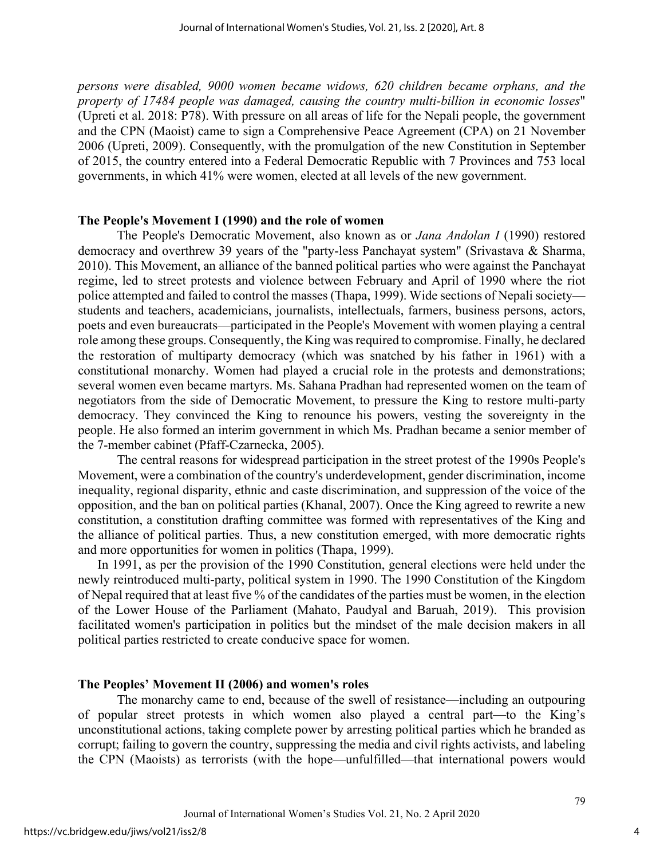*persons were disabled, 9000 women became widows, 620 children became orphans, and the property of 17484 people was damaged, causing the country multi-billion in economic losses*" (Upreti et al. 2018: P78). With pressure on all areas of life for the Nepali people, the government and the CPN (Maoist) came to sign a Comprehensive Peace Agreement (CPA) on 21 November 2006 (Upreti, 2009). Consequently, with the promulgation of the new Constitution in September of 2015, the country entered into a Federal Democratic Republic with 7 Provinces and 753 local governments, in which 41% were women, elected at all levels of the new government.

#### **The People's Movement I (1990) and the role of women**

The People's Democratic Movement, also known as or *Jana Andolan I* (1990) restored democracy and overthrew 39 years of the "party-less Panchayat system" (Srivastava & Sharma, 2010). This Movement, an alliance of the banned political parties who were against the Panchayat regime, led to street protests and violence between February and April of 1990 where the riot police attempted and failed to control the masses (Thapa, 1999). Wide sections of Nepali society students and teachers, academicians, journalists, intellectuals, farmers, business persons, actors, poets and even bureaucrats—participated in the People's Movement with women playing a central role among these groups. Consequently, the King was required to compromise. Finally, he declared the restoration of multiparty democracy (which was snatched by his father in 1961) with a constitutional monarchy. Women had played a crucial role in the protests and demonstrations; several women even became martyrs. Ms. Sahana Pradhan had represented women on the team of negotiators from the side of Democratic Movement, to pressure the King to restore multi-party democracy. They convinced the King to renounce his powers, vesting the sovereignty in the people. He also formed an interim government in which Ms. Pradhan became a senior member of the 7-member cabinet (Pfaff-Czarnecka, 2005).

The central reasons for widespread participation in the street protest of the 1990s People's Movement, were a combination of the country's underdevelopment, gender discrimination, income inequality, regional disparity, ethnic and caste discrimination, and suppression of the voice of the opposition, and the ban on political parties (Khanal, 2007). Once the King agreed to rewrite a new constitution, a constitution drafting committee was formed with representatives of the King and the alliance of political parties. Thus, a new constitution emerged, with more democratic rights and more opportunities for women in politics (Thapa, 1999).

In 1991, as per the provision of the 1990 Constitution, general elections were held under the newly reintroduced multi-party, political system in 1990. The 1990 Constitution of the Kingdom of Nepal required that at least five % of the candidates of the parties must be women, in the election of the Lower House of the Parliament (Mahato, Paudyal and Baruah, 2019). This provision facilitated women's participation in politics but the mindset of the male decision makers in all political parties restricted to create conducive space for women.

#### **The Peoples' Movement II (2006) and women's roles**

The monarchy came to end, because of the swell of resistance—including an outpouring of popular street protests in which women also played a central part—to the King's unconstitutional actions, taking complete power by arresting political parties which he branded as corrupt; failing to govern the country, suppressing the media and civil rights activists, and labeling the CPN (Maoists) as terrorists (with the hope—unfulfilled—that international powers would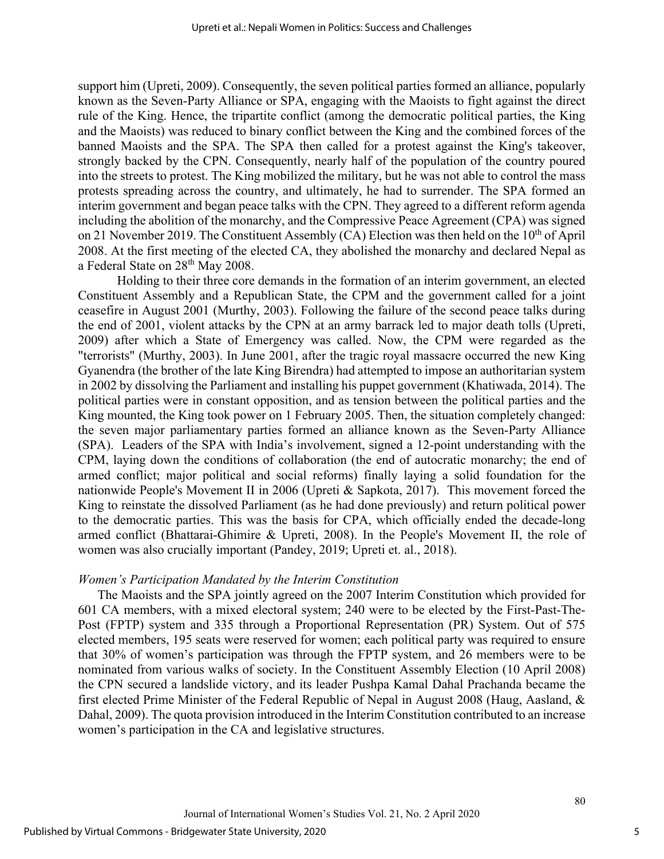support him (Upreti, 2009). Consequently, the seven political parties formed an alliance, popularly known as the Seven-Party Alliance or SPA, engaging with the Maoists to fight against the direct rule of the King. Hence, the tripartite conflict (among the democratic political parties, the King and the Maoists) was reduced to binary conflict between the King and the combined forces of the banned Maoists and the SPA. The SPA then called for a protest against the King's takeover, strongly backed by the CPN. Consequently, nearly half of the population of the country poured into the streets to protest. The King mobilized the military, but he was not able to control the mass protests spreading across the country, and ultimately, he had to surrender. The SPA formed an interim government and began peace talks with the CPN. They agreed to a different reform agenda including the abolition of the monarchy, and the Compressive Peace Agreement (CPA) was signed on 21 November 2019. The Constituent Assembly (CA) Election was then held on the  $10<sup>th</sup>$  of April 2008. At the first meeting of the elected CA, they abolished the monarchy and declared Nepal as a Federal State on 28<sup>th</sup> May 2008.

Holding to their three core demands in the formation of an interim government, an elected Constituent Assembly and a Republican State, the CPM and the government called for a joint ceasefire in August 2001 (Murthy, 2003). Following the failure of the second peace talks during the end of 2001, violent attacks by the CPN at an army barrack led to major death tolls (Upreti, 2009) after which a State of Emergency was called. Now, the CPM were regarded as the "terrorists" (Murthy, 2003). In June 2001, after the tragic royal massacre occurred the new King Gyanendra (the brother of the late King Birendra) had attempted to impose an authoritarian system in 2002 by dissolving the Parliament and installing his puppet government (Khatiwada, 2014). The political parties were in constant opposition, and as tension between the political parties and the King mounted, the King took power on 1 February 2005. Then, the situation completely changed: the seven major parliamentary parties formed an alliance known as the Seven-Party Alliance (SPA). Leaders of the SPA with India's involvement, signed a 12-point understanding with the CPM, laying down the conditions of collaboration (the end of autocratic monarchy; the end of armed conflict; major political and social reforms) finally laying a solid foundation for the nationwide People's Movement II in 2006 (Upreti & Sapkota, 2017). This movement forced the King to reinstate the dissolved Parliament (as he had done previously) and return political power to the democratic parties. This was the basis for CPA, which officially ended the decade-long armed conflict (Bhattarai-Ghimire & Upreti, 2008). In the People's Movement II, the role of women was also crucially important (Pandey, 2019; Upreti et. al., 2018).

#### *Women's Participation Mandated by the Interim Constitution*

The Maoists and the SPA jointly agreed on the 2007 Interim Constitution which provided for 601 CA members, with a mixed electoral system; 240 were to be elected by the First-Past-The-Post (FPTP) system and 335 through a Proportional Representation (PR) System. Out of 575 elected members, 195 seats were reserved for women; each political party was required to ensure that 30% of women's participation was through the FPTP system, and 26 members were to be nominated from various walks of society. In the Constituent Assembly Election (10 April 2008) the CPN secured a landslide victory, and its leader Pushpa Kamal Dahal Prachanda became the first elected Prime Minister of the Federal Republic of Nepal in August 2008 (Haug, Aasland, & Dahal, 2009). The quota provision introduced in the Interim Constitution contributed to an increase women's participation in the CA and legislative structures.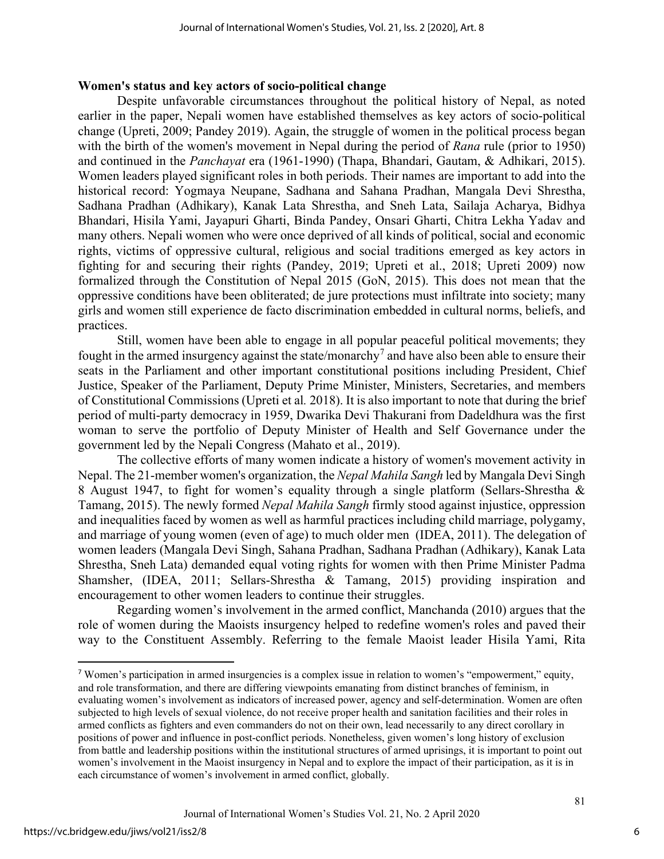#### **Women's status and key actors of socio-political change**

Despite unfavorable circumstances throughout the political history of Nepal, as noted earlier in the paper, Nepali women have established themselves as key actors of socio-political change (Upreti, 2009; Pandey 2019). Again, the struggle of women in the political process began with the birth of the women's movement in Nepal during the period of *Rana* rule (prior to 1950) and continued in the *Panchayat* era (1961-1990) (Thapa, Bhandari, Gautam, & Adhikari, 2015). Women leaders played significant roles in both periods. Their names are important to add into the historical record: Yogmaya Neupane, Sadhana and Sahana Pradhan, Mangala Devi Shrestha, Sadhana Pradhan (Adhikary), Kanak Lata Shrestha, and Sneh Lata, Sailaja Acharya, Bidhya Bhandari, Hisila Yami, Jayapuri Gharti, Binda Pandey, Onsari Gharti, Chitra Lekha Yadav and many others. Nepali women who were once deprived of all kinds of political, social and economic rights, victims of oppressive cultural, religious and social traditions emerged as key actors in fighting for and securing their rights (Pandey, 2019; Upreti et al., 2018; Upreti 2009) now formalized through the Constitution of Nepal 2015 (GoN, 2015). This does not mean that the oppressive conditions have been obliterated; de jure protections must infiltrate into society; many girls and women still experience de facto discrimination embedded in cultural norms, beliefs, and practices.

Still, women have been able to engage in all popular peaceful political movements; they fought in the armed insurgency against the state/monarchy<sup>[7](#page-6-0)</sup> and have also been able to ensure their seats in the Parliament and other important constitutional positions including President, Chief Justice, Speaker of the Parliament, Deputy Prime Minister, Ministers, Secretaries, and members of Constitutional Commissions (Upreti et al*.* 2018). It is also important to note that during the brief period of multi-party democracy in 1959, Dwarika Devi Thakurani from Dadeldhura was the first woman to serve the portfolio of Deputy Minister of Health and Self Governance under the government led by the Nepali Congress (Mahato et al., 2019).

The collective efforts of many women indicate a history of women's movement activity in Nepal. The 21-member women's organization, the *Nepal Mahila Sangh* led by Mangala Devi Singh 8 August 1947, to fight for women's equality through a single platform (Sellars-Shrestha & Tamang, 2015). The newly formed *Nepal Mahila Sangh* firmly stood against injustice, oppression and inequalities faced by women as well as harmful practices including child marriage, polygamy, and marriage of young women (even of age) to much older men (IDEA, 2011). The delegation of women leaders (Mangala Devi Singh, Sahana Pradhan, Sadhana Pradhan (Adhikary), Kanak Lata Shrestha, Sneh Lata) demanded equal voting rights for women with then Prime Minister Padma Shamsher, (IDEA, 2011; Sellars-Shrestha & Tamang, 2015) providing inspiration and encouragement to other women leaders to continue their struggles.

Regarding women's involvement in the armed conflict, Manchanda (2010) argues that the role of women during the Maoists insurgency helped to redefine women's roles and paved their way to the Constituent Assembly. Referring to the female Maoist leader Hisila Yami, Rita

6

<span id="page-6-0"></span><sup>7</sup> Women's participation in armed insurgencies is a complex issue in relation to women's "empowerment," equity, and role transformation, and there are differing viewpoints emanating from distinct branches of feminism, in evaluating women's involvement as indicators of increased power, agency and self-determination. Women are often subjected to high levels of sexual violence, do not receive proper health and sanitation facilities and their roles in armed conflicts as fighters and even commanders do not on their own, lead necessarily to any direct corollary in positions of power and influence in post-conflict periods. Nonetheless, given women's long history of exclusion from battle and leadership positions within the institutional structures of armed uprisings, it is important to point out women's involvement in the Maoist insurgency in Nepal and to explore the impact of their participation, as it is in each circumstance of women's involvement in armed conflict, globally.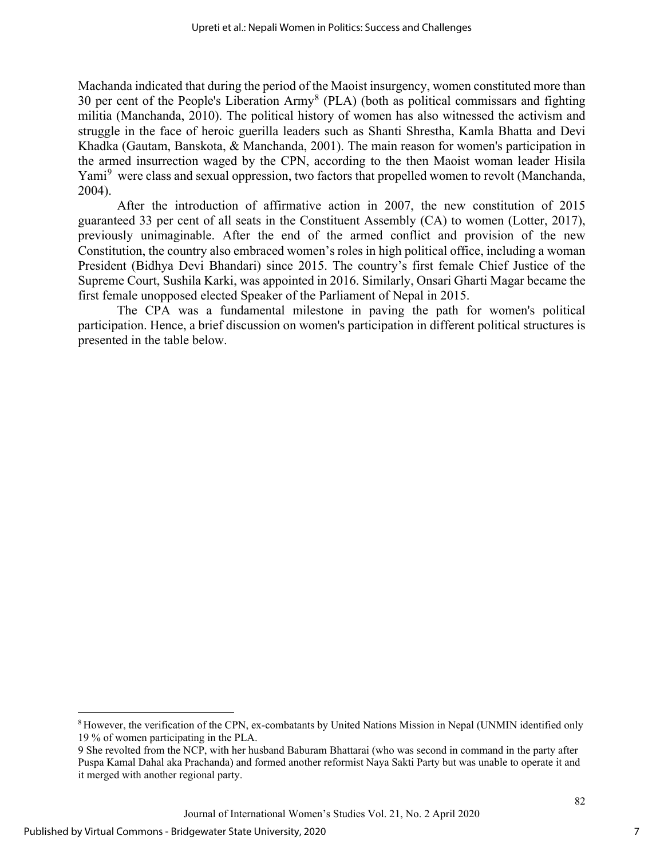Machanda indicated that during the period of the Maoist insurgency, women constituted more than 30 per cent of the People's Liberation Army[8](#page-7-0) (PLA) (both as political commissars and fighting militia (Manchanda, 2010). The political history of women has also witnessed the activism and struggle in the face of heroic guerilla leaders such as Shanti Shrestha, Kamla Bhatta and Devi Khadka (Gautam, Banskota, & Manchanda, 2001). The main reason for women's participation in the armed insurrection waged by the CPN, according to the then Maoist woman leader Hisila Yami<sup>[9](#page-7-1)</sup> were class and sexual oppression, two factors that propelled women to revolt (Manchanda, 2004).

After the introduction of affirmative action in 2007, the new constitution of 2015 guaranteed 33 per cent of all seats in the Constituent Assembly (CA) to women (Lotter, 2017), previously unimaginable. After the end of the armed conflict and provision of the new Constitution, the country also embraced women's roles in high political office, including a woman President (Bidhya Devi Bhandari) since 2015. The country's first female Chief Justice of the Supreme Court, Sushila Karki, was appointed in 2016. Similarly, Onsari Gharti Magar became the first female unopposed elected Speaker of the Parliament of Nepal in 2015.

The CPA was a fundamental milestone in paving the path for women's political participation. Hence, a brief discussion on women's participation in different political structures is presented in the table below.

7

<span id="page-7-0"></span><sup>8</sup> However, the verification of the CPN, ex-combatants by United Nations Mission in Nepal (UNMIN identified only 19 % of women participating in the PLA.

<span id="page-7-1"></span><sup>9</sup> She revolted from the NCP, with her husband Baburam Bhattarai (who was second in command in the party after Puspa Kamal Dahal aka Prachanda) and formed another reformist Naya Sakti Party but was unable to operate it and it merged with another regional party.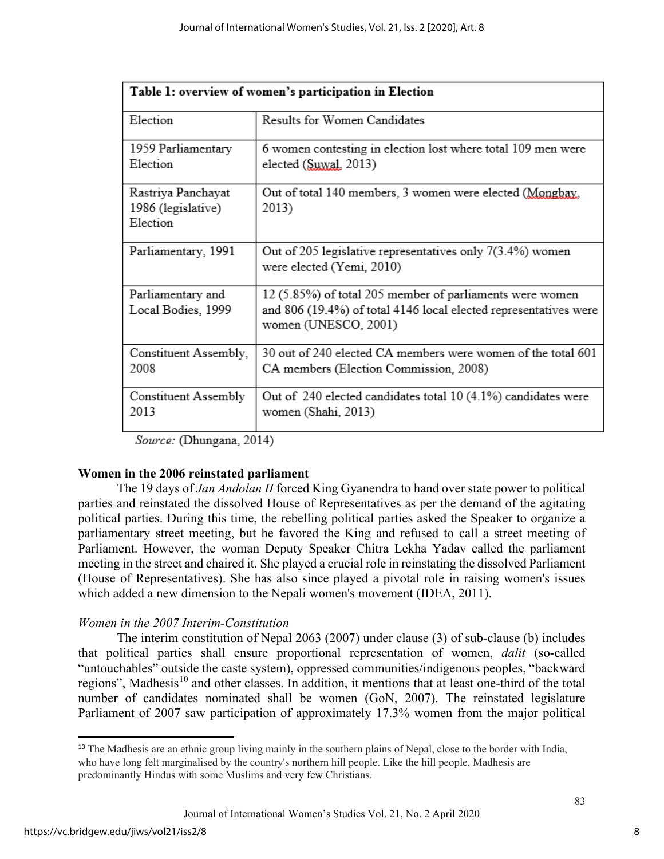| Table 1: overview of women's participation in Election |                                                                                                                                                      |  |  |
|--------------------------------------------------------|------------------------------------------------------------------------------------------------------------------------------------------------------|--|--|
| Election                                               | Results for Women Candidates                                                                                                                         |  |  |
| 1959 Parliamentary<br>Election                         | 6 women contesting in election lost where total 109 men were<br>elected (Suwal, 2013)                                                                |  |  |
| Rastriya Panchayat<br>1986 (legislative)<br>Election   | Out of total 140 members, 3 women were elected (Mongbay,<br>2013)                                                                                    |  |  |
| Parliamentary, 1991                                    | Out of 205 legislative representatives only $7(3.4%)$ women<br>were elected (Yemi, 2010)                                                             |  |  |
| Parliamentary and<br>Local Bodies, 1999                | 12 (5.85%) of total 205 member of parliaments were women<br>and 806 (19.4%) of total 4146 local elected representatives were<br>women (UNESCO, 2001) |  |  |
| Constituent Assembly,<br>2008                          | 30 out of 240 elected CA members were women of the total 601<br>CA members (Election Commission, 2008)                                               |  |  |
| Constituent Assembly<br>2013                           | Out of 240 elected candidates total 10 (4.1%) candidates were<br>women (Shahi, 2013)                                                                 |  |  |

Source: (Dhungana, 2014)

## **Women in the 2006 reinstated parliament**

The 19 days of *Jan Andolan II* forced King Gyanendra to hand over state power to political parties and reinstated the dissolved House of Representatives as per the demand of the agitating political parties. During this time, the rebelling political parties asked the Speaker to organize a parliamentary street meeting, but he favored the King and refused to call a street meeting of Parliament. However, the woman Deputy Speaker Chitra Lekha Yadav called the parliament meeting in the street and chaired it. She played a crucial role in reinstating the dissolved Parliament (House of Representatives). She has also since played a pivotal role in raising women's issues which added a new dimension to the Nepali women's movement (IDEA, 2011).

# *Women in the 2007 Interim-Constitution*

The interim constitution of Nepal 2063 (2007) under clause (3) of sub-clause (b) includes that political parties shall ensure proportional representation of women, *dalit* (so-called "untouchables" outside the caste system), oppressed communities/indigenous peoples, "backward regions", Madhesis<sup>[10](#page-8-0)</sup> and other classes. In addition, it mentions that at least one-third of the total number of candidates nominated shall be women (GoN, 2007). The reinstated legislature Parliament of 2007 saw participation of approximately 17.3% women from the major political

<span id="page-8-0"></span><sup>&</sup>lt;sup>10</sup> The Madhesis are an ethnic group living mainly in the southern plains of Nepal, close to the border with India, who have long felt marginalised by the country's northern hill people. Like the hill people, Madhesis are predominantly Hindus with some Muslims and very few Christians.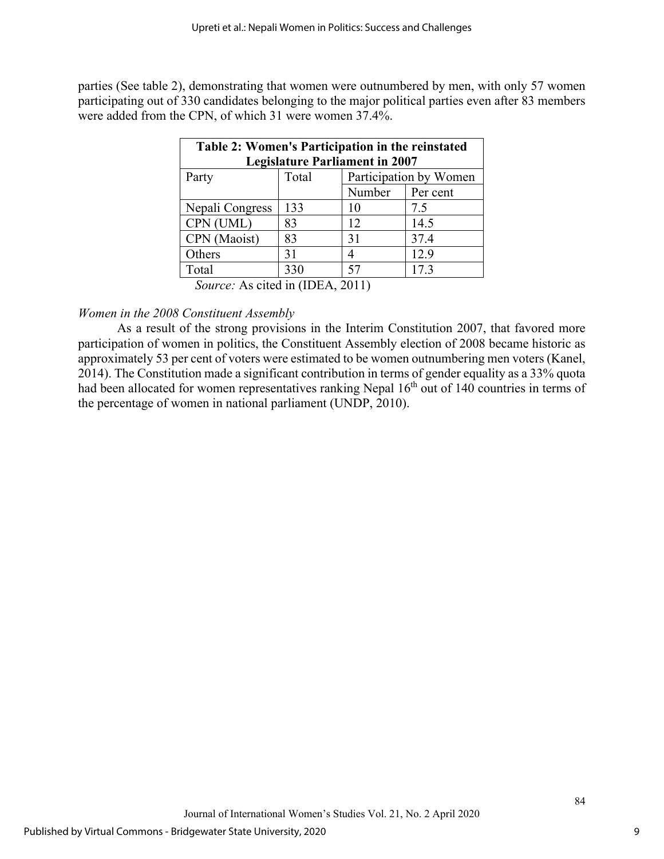parties (See table 2), demonstrating that women were outnumbered by men, with only 57 women participating out of 330 candidates belonging to the major political parties even after 83 members were added from the CPN, of which 31 were women 37.4%.

| Table 2: Women's Participation in the reinstated |       |                        |          |  |
|--------------------------------------------------|-------|------------------------|----------|--|
| <b>Legislature Parliament in 2007</b>            |       |                        |          |  |
| Party                                            | Total | Participation by Women |          |  |
|                                                  |       | Number                 | Per cent |  |
| Nepali Congress                                  | 133   | 10                     | 7.5      |  |
| CPN (UML)                                        | 83    | 12                     | 14.5     |  |
| CPN (Maoist)                                     | 83    | 31                     | 37.4     |  |
| Others                                           | 31    | 4                      | 12.9     |  |
| Total                                            | 330   | 57                     | 17.3     |  |
| Source: As cited in (IDEA, 2011)                 |       |                        |          |  |

## *Women in the 2008 Constituent Assembly*

As a result of the strong provisions in the Interim Constitution 2007, that favored more participation of women in politics, the Constituent Assembly election of 2008 became historic as approximately 53 per cent of voters were estimated to be women outnumbering men voters (Kanel, 2014). The Constitution made a significant contribution in terms of gender equality as a 33% quota had been allocated for women representatives ranking Nepal 16<sup>th</sup> out of 140 countries in terms of the percentage of women in national parliament (UNDP, 2010).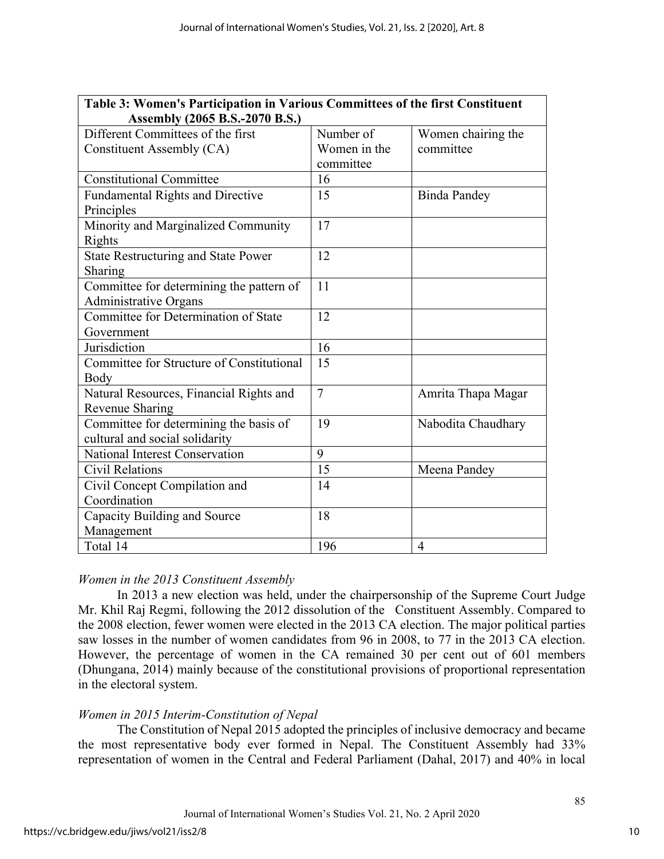| Table 3: Women's Participation in Various Committees of the first Constituent |                |                     |  |  |
|-------------------------------------------------------------------------------|----------------|---------------------|--|--|
| Assembly (2065 B.S.-2070 B.S.)                                                |                |                     |  |  |
| Different Committees of the first                                             | Number of      | Women chairing the  |  |  |
| Constituent Assembly (CA)                                                     | Women in the   | committee           |  |  |
|                                                                               | committee      |                     |  |  |
| <b>Constitutional Committee</b>                                               | 16             |                     |  |  |
| <b>Fundamental Rights and Directive</b>                                       | 15             | <b>Binda Pandey</b> |  |  |
| Principles                                                                    |                |                     |  |  |
| Minority and Marginalized Community                                           | 17             |                     |  |  |
| Rights                                                                        |                |                     |  |  |
| <b>State Restructuring and State Power</b>                                    | 12             |                     |  |  |
| Sharing                                                                       |                |                     |  |  |
| Committee for determining the pattern of                                      | 11             |                     |  |  |
| <b>Administrative Organs</b>                                                  |                |                     |  |  |
| Committee for Determination of State                                          | 12             |                     |  |  |
| Government                                                                    |                |                     |  |  |
| Jurisdiction                                                                  | 16             |                     |  |  |
| Committee for Structure of Constitutional                                     | 15             |                     |  |  |
| Body                                                                          |                |                     |  |  |
| Natural Resources, Financial Rights and                                       | $\overline{7}$ | Amrita Thapa Magar  |  |  |
| Revenue Sharing                                                               |                |                     |  |  |
| Committee for determining the basis of                                        | 19             | Nabodita Chaudhary  |  |  |
| cultural and social solidarity                                                |                |                     |  |  |
| National Interest Conservation                                                | 9              |                     |  |  |
| Civil Relations                                                               | 15             | Meena Pandey        |  |  |
| Civil Concept Compilation and                                                 | 14             |                     |  |  |
| Coordination                                                                  |                |                     |  |  |
| Capacity Building and Source                                                  | 18             |                     |  |  |
| Management                                                                    |                |                     |  |  |
| Total 14                                                                      | 196            | $\overline{4}$      |  |  |

## *Women in the 2013 Constituent Assembly*

In 2013 a new election was held, under the chairpersonship of the Supreme Court Judge Mr. Khil Raj Regmi, following the 2012 dissolution of the Constituent Assembly. Compared to the 2008 election, fewer women were elected in the 2013 CA election. The major political parties saw losses in the number of women candidates from 96 in 2008, to 77 in the 2013 CA election. However, the percentage of women in the CA remained 30 per cent out of 601 members (Dhungana, 2014) mainly because of the constitutional provisions of proportional representation in the electoral system.

## *Women in 2015 Interim-Constitution of Nepal*

The Constitution of Nepal 2015 adopted the principles of inclusive democracy and became the most representative body ever formed in Nepal. The Constituent Assembly had 33% representation of women in the Central and Federal Parliament (Dahal, 2017) and 40% in local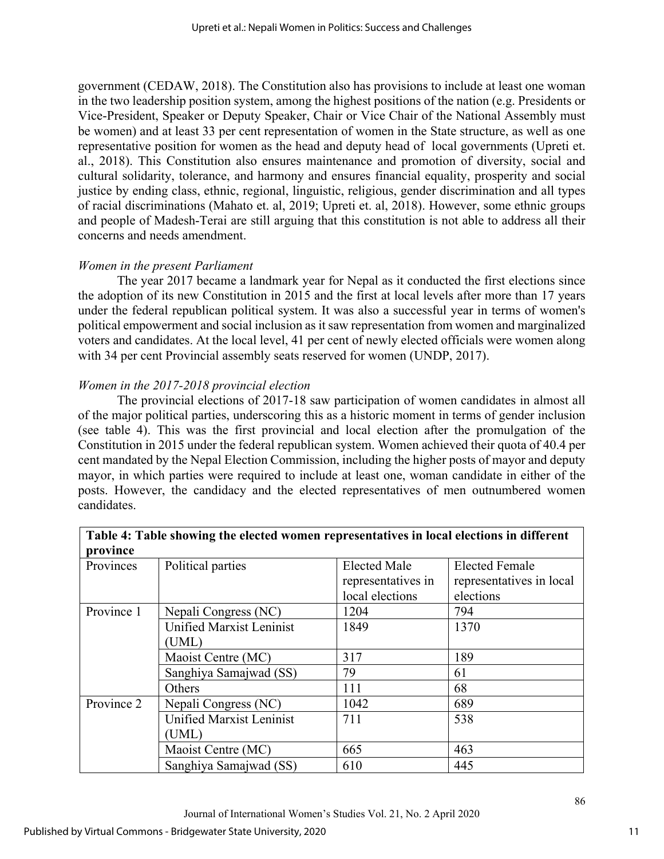government (CEDAW, 2018). The Constitution also has provisions to include at least one woman in the two leadership position system, among the highest positions of the nation (e.g. Presidents or Vice-President, Speaker or Deputy Speaker, Chair or Vice Chair of the National Assembly must be women) and at least 33 per cent representation of women in the State structure, as well as one representative position for women as the head and deputy head of local governments (Upreti et. al., 2018). This Constitution also ensures maintenance and promotion of diversity, social and cultural solidarity, tolerance, and harmony and ensures financial equality, prosperity and social justice by ending class, ethnic, regional, linguistic, religious, gender discrimination and all types of racial discriminations (Mahato et. al, 2019; Upreti et. al, 2018). However, some ethnic groups and people of Madesh-Terai are still arguing that this constitution is not able to address all their concerns and needs amendment.

# *Women in the present Parliament*

The year 2017 became a landmark year for Nepal as it conducted the first elections since the adoption of its new Constitution in 2015 and the first at local levels after more than 17 years under the federal republican political system. It was also a successful year in terms of women's political empowerment and social inclusion as it saw representation from women and marginalized voters and candidates. At the local level, 41 per cent of newly elected officials were women along with 34 per cent Provincial assembly seats reserved for women (UNDP, 2017).

# *Women in the 2017-2018 provincial election*

The provincial elections of 2017-18 saw participation of women candidates in almost all of the major political parties, underscoring this as a historic moment in terms of gender inclusion (see table 4). This was the first provincial and local election after the promulgation of the Constitution in 2015 under the federal republican system. Women achieved their quota of 40.4 per cent mandated by the Nepal Election Commission, including the higher posts of mayor and deputy mayor, in which parties were required to include at least one, woman candidate in either of the posts. However, the candidacy and the elected representatives of men outnumbered women candidates.

| province                                     |                                 |                     |                          |  |  |
|----------------------------------------------|---------------------------------|---------------------|--------------------------|--|--|
| Provinces                                    | Political parties               | <b>Elected Male</b> | <b>Elected Female</b>    |  |  |
|                                              |                                 | representatives in  | representatives in local |  |  |
|                                              |                                 | local elections     | elections                |  |  |
| Province 1                                   | Nepali Congress (NC)            | 1204                | 794                      |  |  |
|                                              | <b>Unified Marxist Leninist</b> | 1849                | 1370                     |  |  |
|                                              | (UML)                           |                     |                          |  |  |
| Maoist Centre (MC)<br>Sanghiya Samajwad (SS) |                                 | 317                 | 189                      |  |  |
|                                              |                                 | 79                  | 61                       |  |  |
|                                              | Others                          | 111                 | 68                       |  |  |
| Province 2                                   | Nepali Congress (NC)            | 1042                | 689                      |  |  |
|                                              | <b>Unified Marxist Leninist</b> | 711                 | 538                      |  |  |
|                                              | (UML)                           |                     |                          |  |  |
|                                              | Maoist Centre (MC)              | 665                 | 463                      |  |  |
|                                              | Sanghiya Samajwad (SS)          | 610                 | 445                      |  |  |

# **Table 4: Table showing the elected women representatives in local elections in different**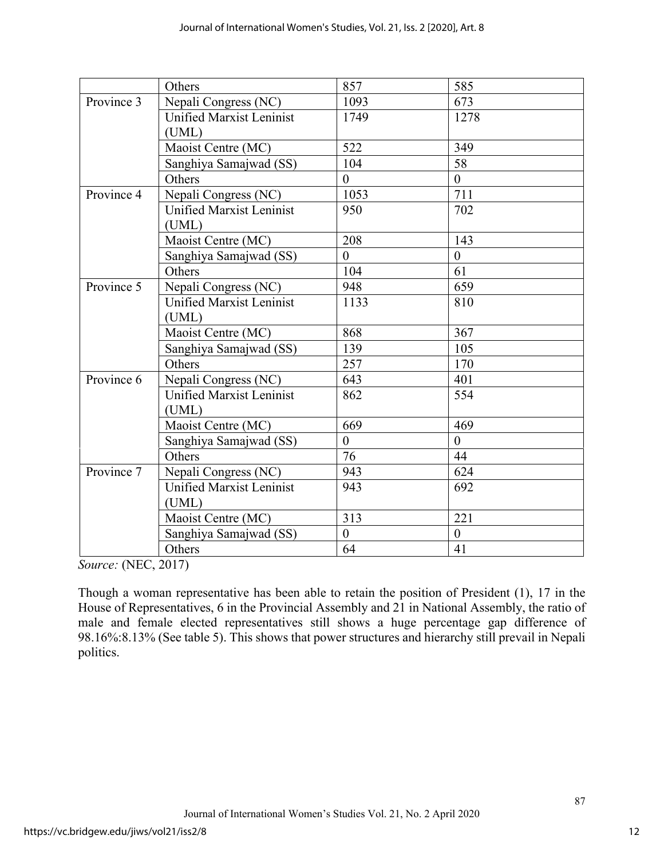|            | Others                                   | 857            | 585            |
|------------|------------------------------------------|----------------|----------------|
| Province 3 | Nepali Congress (NC)                     | 1093           | 673            |
|            | <b>Unified Marxist Leninist</b><br>(UML) | 1749           | 1278           |
|            | Maoist Centre (MC)                       | 522            | 349            |
|            | Sanghiya Samajwad (SS)                   | 104            | 58             |
|            | Others                                   | $\overline{0}$ | $\overline{0}$ |
| Province 4 | Nepali Congress (NC)                     | 1053           | 711            |
|            | <b>Unified Marxist Leninist</b><br>(UML) | 950            | 702            |
|            | Maoist Centre (MC)                       | 208            | 143            |
|            | Sanghiya Samajwad (SS)                   | $\theta$       | $\overline{0}$ |
|            | Others                                   | 104            | 61             |
| Province 5 | Nepali Congress (NC)                     | 948            | 659            |
|            | <b>Unified Marxist Leninist</b><br>(UML) | 1133           | 810            |
|            | Maoist Centre (MC)                       | 868            | 367            |
|            | Sanghiya Samajwad (SS)                   | 139            | 105            |
|            | Others                                   | 257            | 170            |
| Province 6 | Nepali Congress (NC)                     | 643            | 401            |
|            | <b>Unified Marxist Leninist</b><br>(UML) | 862            | 554            |
|            | Maoist Centre (MC)                       | 669            | 469            |
|            | Sanghiya Samajwad (SS)                   | $\overline{0}$ | $\overline{0}$ |
|            | Others                                   | 76             | 44             |
| Province 7 | Nepali Congress (NC)                     | 943            | 624            |
|            | <b>Unified Marxist Leninist</b><br>(UML) | 943            | 692            |
|            | Maoist Centre (MC)                       | 313            | 221            |
|            | Sanghiya Samajwad (SS)                   | $\overline{0}$ | $\overline{0}$ |
|            | Others                                   | 64             | 41             |

*Source:* (NEC, 2017)

Though a woman representative has been able to retain the position of President (1), 17 in the House of Representatives, 6 in the Provincial Assembly and 21 in National Assembly, the ratio of male and female elected representatives still shows a huge percentage gap difference of 98.16%:8.13% (See table 5). This shows that power structures and hierarchy still prevail in Nepali politics.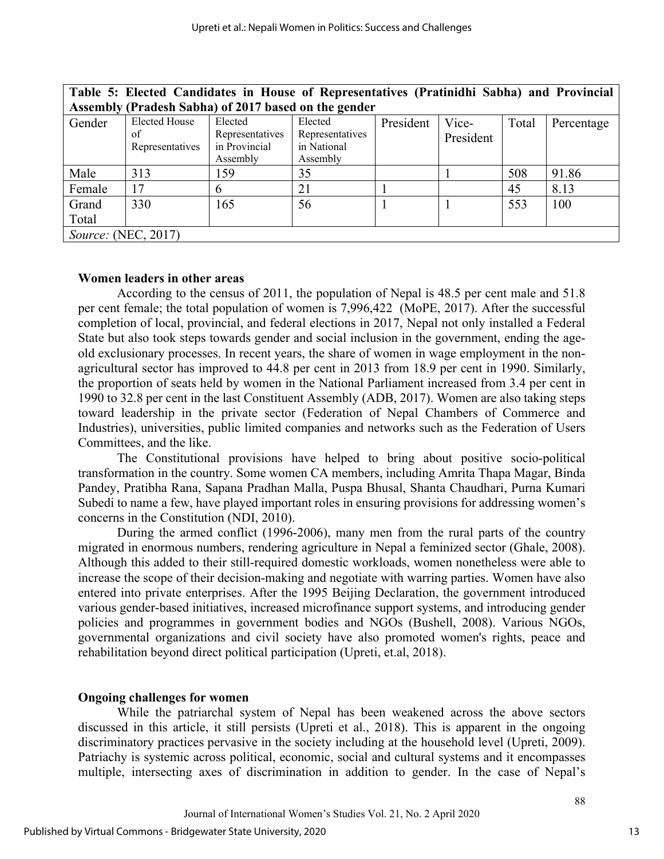| Table 5: Elected Candidates in House of Representatives (Pratinidhi Sabha) and Provincial |                      |                 |                 |           |           |       |            |
|-------------------------------------------------------------------------------------------|----------------------|-----------------|-----------------|-----------|-----------|-------|------------|
| Assembly (Pradesh Sabha) of 2017 based on the gender                                      |                      |                 |                 |           |           |       |            |
| Gender                                                                                    | <b>Elected House</b> | Elected         | Elected         | President | Vice-     | Total | Percentage |
|                                                                                           | of                   | Representatives | Representatives |           | President |       |            |
|                                                                                           | Representatives      | in Provincial   | in National     |           |           |       |            |
|                                                                                           |                      | Assembly        | Assembly        |           |           |       |            |
| Male                                                                                      | 313                  | 159             | 35              |           |           | 508   | 91.86      |
| Female                                                                                    | 17                   | b               | 21              |           |           | 45    | 8.13       |
| Grand                                                                                     | 330                  | 165             | 56              |           |           | 553   | 100        |
| Total                                                                                     |                      |                 |                 |           |           |       |            |
| <i>Source:</i> (NEC, 2017)                                                                |                      |                 |                 |           |           |       |            |

# **Women leaders in other areas**

According to the census of 2011, the population of Nepal is 48.5 per cent male and 51.8 per cent female; the total population of women is 7,996,422 (MoPE, 2017). After the successful completion of local, provincial, and federal elections in 2017, Nepal not only installed a Federal State but also took steps towards gender and social inclusion in the government, ending the ageold exclusionary processes. In recent years, the share of women in wage employment in the nonagricultural sector has improved to 44.8 per cent in 2013 from 18.9 per cent in 1990. Similarly, the proportion of seats held by women in the National Parliament increased from 3.4 per cent in 1990 to 32.8 per cent in the last Constituent Assembly (ADB, 2017). Women are also taking steps toward leadership in the private sector (Federation of Nepal Chambers of Commerce and Industries), universities, public limited companies and networks such as the Federation of Users Committees, and the like.

The Constitutional provisions have helped to bring about positive socio-political transformation in the country. Some women CA members, including Amrita Thapa Magar, Binda Pandey, Pratibha Rana, Sapana Pradhan Malla, Puspa Bhusal, Shanta Chaudhari, Purna Kumari Subedi to name a few, have played important roles in ensuring provisions for addressing women's concerns in the Constitution (NDI, 2010).

During the armed conflict (1996-2006), many men from the rural parts of the country migrated in enormous numbers, rendering agriculture in Nepal a feminized sector (Ghale, 2008). Although this added to their still-required domestic workloads, women nonetheless were able to increase the scope of their decision-making and negotiate with warring parties. Women have also entered into private enterprises. After the 1995 Beijing Declaration, the government introduced various gender-based initiatives, increased microfinance support systems, and introducing gender policies and programmes in government bodies and NGOs (Bushell, 2008). Various NGOs, governmental organizations and civil society have also promoted women's rights, peace and rehabilitation beyond direct political participation (Upreti, et.al, 2018).

# **Ongoing challenges for women**

While the patriarchal system of Nepal has been weakened across the above sectors discussed in this article, it still persists (Upreti et al., 2018). This is apparent in the ongoing discriminatory practices pervasive in the society including at the household level (Upreti, 2009). Patriachy is systemic across political, economic, social and cultural systems and it encompasses multiple, intersecting axes of discrimination in addition to gender. In the case of Nepal's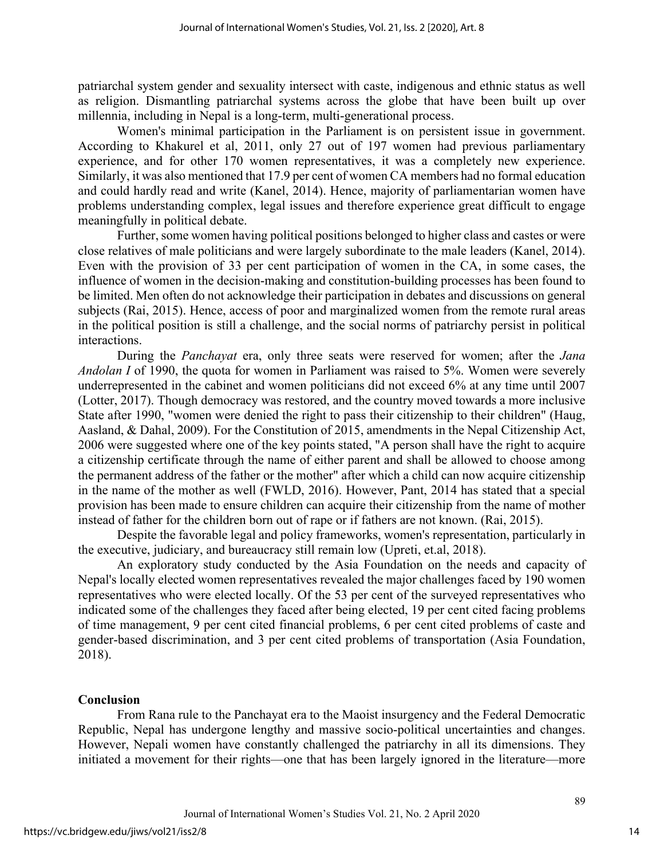patriarchal system gender and sexuality intersect with caste, indigenous and ethnic status as well as religion. Dismantling patriarchal systems across the globe that have been built up over millennia, including in Nepal is a long-term, multi-generational process.

Women's minimal participation in the Parliament is on persistent issue in government. According to Khakurel et al, 2011, only 27 out of 197 women had previous parliamentary experience, and for other 170 women representatives, it was a completely new experience. Similarly, it was also mentioned that 17.9 per cent of women CA members had no formal education and could hardly read and write (Kanel, 2014). Hence, majority of parliamentarian women have problems understanding complex, legal issues and therefore experience great difficult to engage meaningfully in political debate.

Further, some women having political positions belonged to higher class and castes or were close relatives of male politicians and were largely subordinate to the male leaders (Kanel, 2014). Even with the provision of 33 per cent participation of women in the CA, in some cases, the influence of women in the decision-making and constitution-building processes has been found to be limited. Men often do not acknowledge their participation in debates and discussions on general subjects (Rai, 2015). Hence, access of poor and marginalized women from the remote rural areas in the political position is still a challenge, and the social norms of patriarchy persist in political interactions.

During the *Panchayat* era, only three seats were reserved for women; after the *Jana Andolan I* of 1990, the quota for women in Parliament was raised to 5%. Women were severely underrepresented in the cabinet and women politicians did not exceed 6% at any time until 2007 (Lotter, 2017). Though democracy was restored, and the country moved towards a more inclusive State after 1990, "women were denied the right to pass their citizenship to their children" (Haug, Aasland, & Dahal, 2009). For the Constitution of 2015, amendments in the Nepal Citizenship Act, 2006 were suggested where one of the key points stated, "A person shall have the right to acquire a citizenship certificate through the name of either parent and shall be allowed to choose among the permanent address of the father or the mother" after which a child can now acquire citizenship in the name of the mother as well (FWLD, 2016). However, Pant, 2014 has stated that a special provision has been made to ensure children can acquire their citizenship from the name of mother instead of father for the children born out of rape or if fathers are not known. (Rai, 2015).

Despite the favorable legal and policy frameworks, women's representation, particularly in the executive, judiciary, and bureaucracy still remain low (Upreti, et.al, 2018).

An exploratory study conducted by the Asia Foundation on the needs and capacity of Nepal's locally elected women representatives revealed the major challenges faced by 190 women representatives who were elected locally. Of the 53 per cent of the surveyed representatives who indicated some of the challenges they faced after being elected, 19 per cent cited facing problems of time management, 9 per cent cited financial problems, 6 per cent cited problems of caste and gender-based discrimination, and 3 per cent cited problems of transportation (Asia Foundation, 2018).

## **Conclusion**

From Rana rule to the Panchayat era to the Maoist insurgency and the Federal Democratic Republic, Nepal has undergone lengthy and massive socio-political uncertainties and changes. However, Nepali women have constantly challenged the patriarchy in all its dimensions. They initiated a movement for their rights—one that has been largely ignored in the literature—more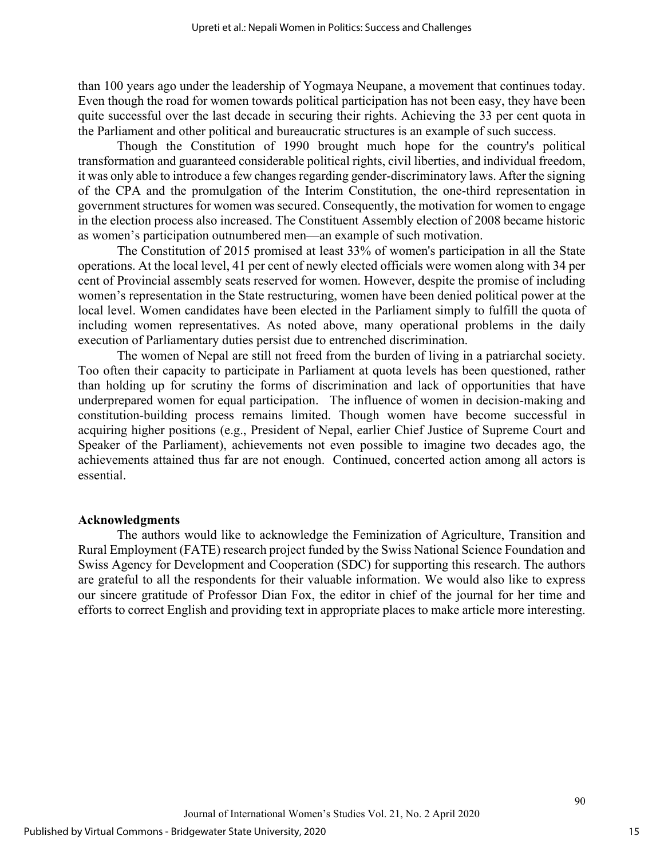than 100 years ago under the leadership of Yogmaya Neupane, a movement that continues today. Even though the road for women towards political participation has not been easy, they have been quite successful over the last decade in securing their rights. Achieving the 33 per cent quota in the Parliament and other political and bureaucratic structures is an example of such success.

Though the Constitution of 1990 brought much hope for the country's political transformation and guaranteed considerable political rights, civil liberties, and individual freedom, it was only able to introduce a few changes regarding gender-discriminatory laws. After the signing of the CPA and the promulgation of the Interim Constitution, the one-third representation in government structures for women was secured. Consequently, the motivation for women to engage in the election process also increased. The Constituent Assembly election of 2008 became historic as women's participation outnumbered men—an example of such motivation.

The Constitution of 2015 promised at least 33% of women's participation in all the State operations. At the local level, 41 per cent of newly elected officials were women along with 34 per cent of Provincial assembly seats reserved for women. However, despite the promise of including women's representation in the State restructuring, women have been denied political power at the local level. Women candidates have been elected in the Parliament simply to fulfill the quota of including women representatives. As noted above, many operational problems in the daily execution of Parliamentary duties persist due to entrenched discrimination.

The women of Nepal are still not freed from the burden of living in a patriarchal society. Too often their capacity to participate in Parliament at quota levels has been questioned, rather than holding up for scrutiny the forms of discrimination and lack of opportunities that have underprepared women for equal participation. The influence of women in decision-making and constitution-building process remains limited. Though women have become successful in acquiring higher positions (e.g., President of Nepal, earlier Chief Justice of Supreme Court and Speaker of the Parliament), achievements not even possible to imagine two decades ago, the achievements attained thus far are not enough. Continued, concerted action among all actors is essential.

#### **Acknowledgments**

The authors would like to acknowledge the Feminization of Agriculture, Transition and Rural Employment (FATE) research project funded by the Swiss National Science Foundation and Swiss Agency for Development and Cooperation (SDC) for supporting this research. The authors are grateful to all the respondents for their valuable information. We would also like to express our sincere gratitude of Professor Dian Fox, the editor in chief of the journal for her time and efforts to correct English and providing text in appropriate places to make article more interesting.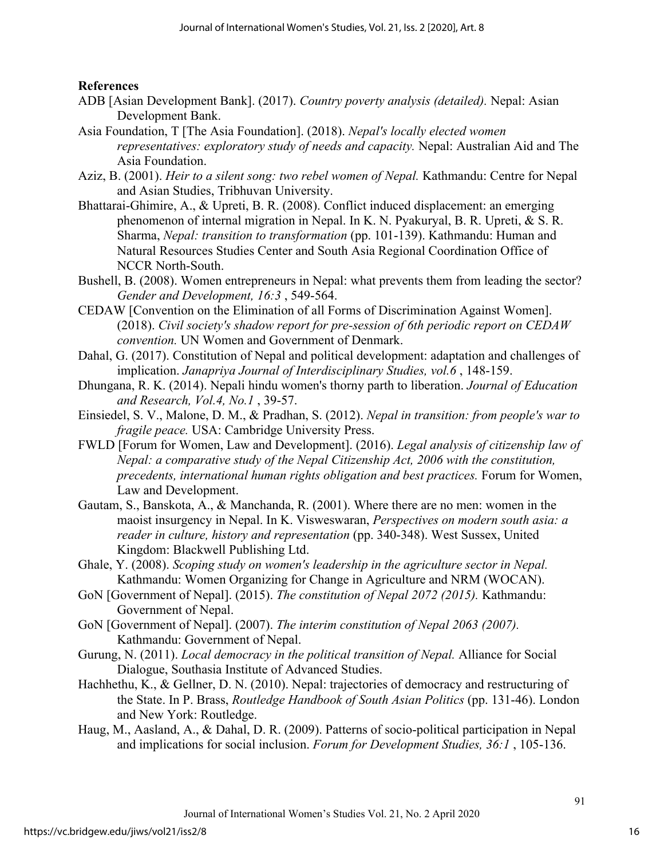# **References**

- ADB [Asian Development Bank]. (2017). *Country poverty analysis (detailed).* Nepal: Asian Development Bank.
- Asia Foundation, T [The Asia Foundation]. (2018). *Nepal's locally elected women representatives: exploratory study of needs and capacity.* Nepal: Australian Aid and The Asia Foundation.
- Aziz, B. (2001). *Heir to a silent song: two rebel women of Nepal.* Kathmandu: Centre for Nepal and Asian Studies, Tribhuvan University.
- Bhattarai-Ghimire, A., & Upreti, B. R. (2008). Conflict induced displacement: an emerging phenomenon of internal migration in Nepal. In K. N. Pyakuryal, B. R. Upreti, & S. R. Sharma, *Nepal: transition to transformation* (pp. 101-139). Kathmandu: Human and Natural Resources Studies Center and South Asia Regional Coordination Office of NCCR North-South.
- Bushell, B. (2008). Women entrepreneurs in Nepal: what prevents them from leading the sector? *Gender and Development, 16:3* , 549-564.
- CEDAW [Convention on the Elimination of all Forms of Discrimination Against Women]. (2018). *Civil society's shadow report for pre-session of 6th periodic report on CEDAW convention.* UN Women and Government of Denmark.
- Dahal, G. (2017). Constitution of Nepal and political development: adaptation and challenges of implication. *Janapriya Journal of Interdisciplinary Studies, vol.6* , 148-159.
- Dhungana, R. K. (2014). Nepali hindu women's thorny parth to liberation. *Journal of Education and Research, Vol.4, No.1* , 39-57.
- Einsiedel, S. V., Malone, D. M., & Pradhan, S. (2012). *Nepal in transition: from people's war to fragile peace.* USA: Cambridge University Press.
- FWLD [Forum for Women, Law and Development]. (2016). *Legal analysis of citizenship law of Nepal: a comparative study of the Nepal Citizenship Act, 2006 with the constitution, precedents, international human rights obligation and best practices.* Forum for Women, Law and Development.
- Gautam, S., Banskota, A., & Manchanda, R. (2001). Where there are no men: women in the maoist insurgency in Nepal. In K. Visweswaran, *Perspectives on modern south asia: a reader in culture, history and representation* (pp. 340-348). West Sussex, United Kingdom: Blackwell Publishing Ltd.
- Ghale, Y. (2008). *Scoping study on women's leadership in the agriculture sector in Nepal.* Kathmandu: Women Organizing for Change in Agriculture and NRM (WOCAN).
- GoN [Government of Nepal]. (2015). *The constitution of Nepal 2072 (2015).* Kathmandu: Government of Nepal.
- GoN [Government of Nepal]. (2007). *The interim constitution of Nepal 2063 (2007).* Kathmandu: Government of Nepal.
- Gurung, N. (2011). *Local democracy in the political transition of Nepal.* Alliance for Social Dialogue, Southasia Institute of Advanced Studies.
- Hachhethu, K., & Gellner, D. N. (2010). Nepal: trajectories of democracy and restructuring of the State. In P. Brass, *Routledge Handbook of South Asian Politics* (pp. 131-46). London and New York: Routledge.
- Haug, M., Aasland, A., & Dahal, D. R. (2009). Patterns of socio-political participation in Nepal and implications for social inclusion. *Forum for Development Studies, 36:1* , 105-136.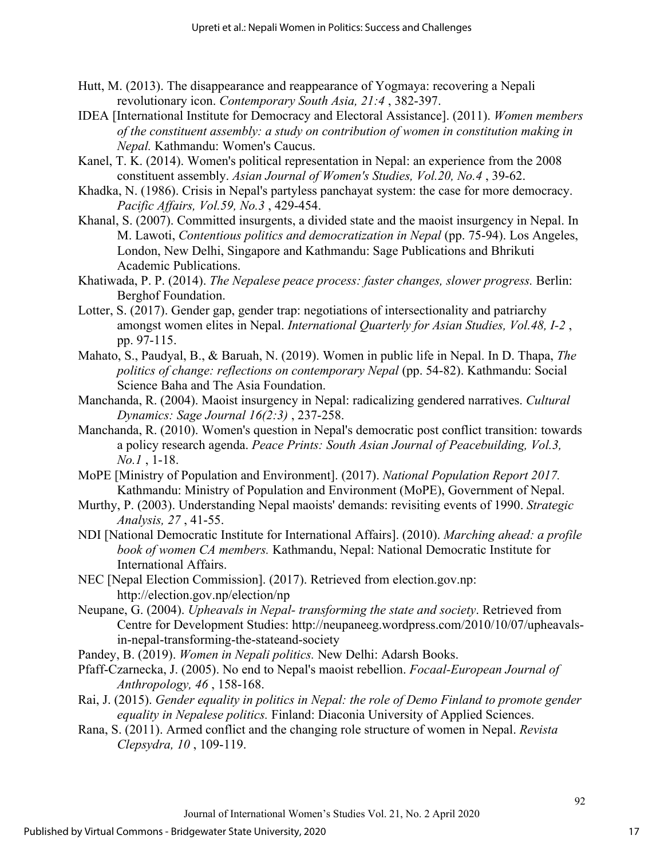- Hutt, M. (2013). The disappearance and reappearance of Yogmaya: recovering a Nepali revolutionary icon. *Contemporary South Asia, 21:4* , 382-397.
- IDEA [International Institute for Democracy and Electoral Assistance]. (2011). *Women members of the constituent assembly: a study on contribution of women in constitution making in Nepal.* Kathmandu: Women's Caucus.
- Kanel, T. K. (2014). Women's political representation in Nepal: an experience from the 2008 constituent assembly. *Asian Journal of Women's Studies, Vol.20, No.4* , 39-62.
- Khadka, N. (1986). Crisis in Nepal's partyless panchayat system: the case for more democracy. *Pacific Affairs, Vol.59, No.3* , 429-454.
- Khanal, S. (2007). Committed insurgents, a divided state and the maoist insurgency in Nepal. In M. Lawoti, *Contentious politics and democratization in Nepal* (pp. 75-94). Los Angeles, London, New Delhi, Singapore and Kathmandu: Sage Publications and Bhrikuti Academic Publications.
- Khatiwada, P. P. (2014). *The Nepalese peace process: faster changes, slower progress.* Berlin: Berghof Foundation.
- Lotter, S. (2017). Gender gap, gender trap: negotiations of intersectionality and patriarchy amongst women elites in Nepal. *International Quarterly for Asian Studies, Vol.48, I-2* , pp. 97-115.
- Mahato, S., Paudyal, B., & Baruah, N. (2019). Women in public life in Nepal. In D. Thapa, *The politics of change: reflections on contemporary Nepal* (pp. 54-82). Kathmandu: Social Science Baha and The Asia Foundation.
- Manchanda, R. (2004). Maoist insurgency in Nepal: radicalizing gendered narratives. *Cultural Dynamics: Sage Journal 16(2:3)* , 237-258.
- Manchanda, R. (2010). Women's question in Nepal's democratic post conflict transition: towards a policy research agenda. *Peace Prints: South Asian Journal of Peacebuilding, Vol.3, No.1* , 1-18.
- MoPE [Ministry of Population and Environment]. (2017). *National Population Report 2017.* Kathmandu: Ministry of Population and Environment (MoPE), Government of Nepal.
- Murthy, P. (2003). Understanding Nepal maoists' demands: revisiting events of 1990. *Strategic Analysis, 27* , 41-55.
- NDI [National Democratic Institute for International Affairs]. (2010). *Marching ahead: a profile book of women CA members.* Kathmandu, Nepal: National Democratic Institute for International Affairs.
- NEC [Nepal Election Commission]. (2017). Retrieved from election.gov.np: http://election.gov.np/election/np
- Neupane, G. (2004). *Upheavals in Nepal- transforming the state and society*. Retrieved from Centre for Development Studies: http://neupaneeg.wordpress.com/2010/10/07/upheavalsin-nepal-transforming-the-stateand-society
- Pandey, B. (2019). *Women in Nepali politics.* New Delhi: Adarsh Books.
- Pfaff-Czarnecka, J. (2005). No end to Nepal's maoist rebellion. *Focaal-European Journal of Anthropology, 46* , 158-168.
- Rai, J. (2015). *Gender equality in politics in Nepal: the role of Demo Finland to promote gender equality in Nepalese politics.* Finland: Diaconia University of Applied Sciences.
- Rana, S. (2011). Armed conflict and the changing role structure of women in Nepal. *Revista Clepsydra, 10* , 109-119.